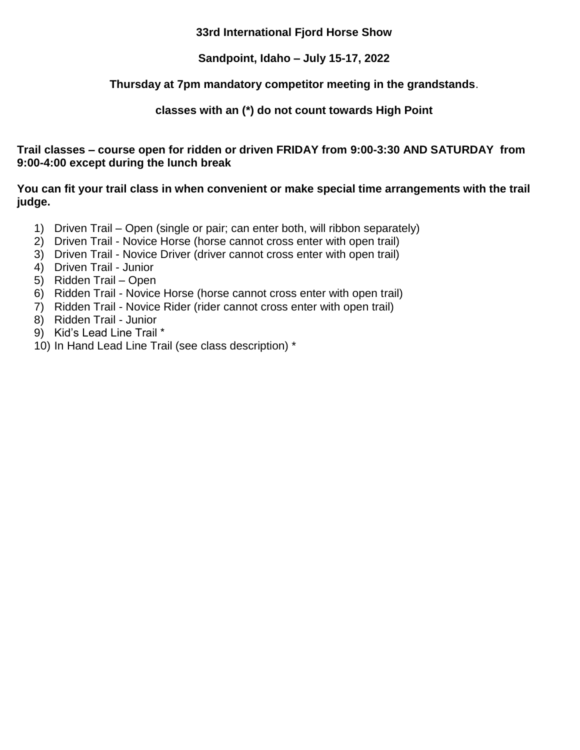# **33rd International Fjord Horse Show**

# **Sandpoint, Idaho – July 15-17, 2022**

# **Thursday at 7pm mandatory competitor meeting in the grandstands**.

# **classes with an (\*) do not count towards High Point**

## **Trail classes – course open for ridden or driven FRIDAY from 9:00-3:30 AND SATURDAY from 9:00-4:00 except during the lunch break**

## **You can fit your trail class in when convenient or make special time arrangements with the trail judge.**

- 1) Driven Trail Open (single or pair; can enter both, will ribbon separately)
- 2) Driven Trail Novice Horse (horse cannot cross enter with open trail)
- 3) Driven Trail Novice Driver (driver cannot cross enter with open trail)
- 4) Driven Trail Junior
- 5) Ridden Trail Open
- 6) Ridden Trail Novice Horse (horse cannot cross enter with open trail)
- 7) Ridden Trail Novice Rider (rider cannot cross enter with open trail)
- 8) Ridden Trail Junior
- 9) Kid's Lead Line Trail \*
- 10) In Hand Lead Line Trail (see class description) \*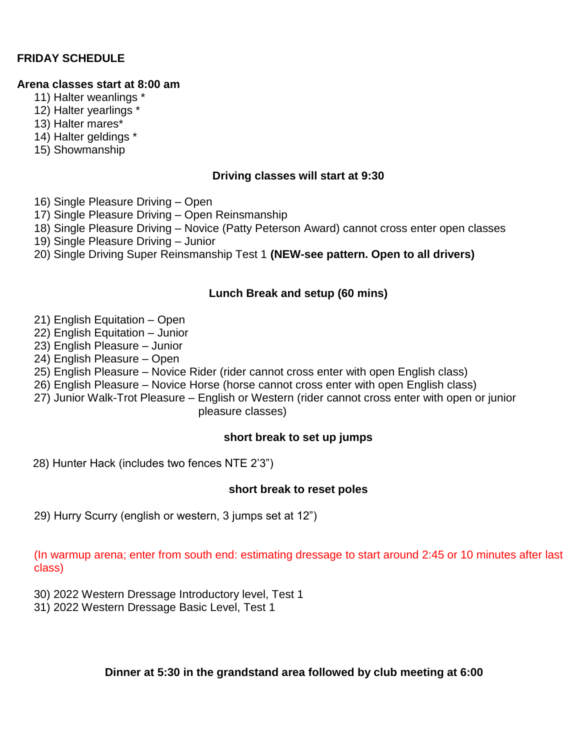# **FRIDAY SCHEDULE**

#### **Arena classes start at 8:00 am**

- 11) Halter weanlings \*
- 12) Halter yearlings \*
- 13) Halter mares\*
- 14) Halter geldings \*
- 15) Showmanship

## **Driving classes will start at 9:30**

- 16) Single Pleasure Driving Open
- 17) Single Pleasure Driving Open Reinsmanship
- 18) Single Pleasure Driving Novice (Patty Peterson Award) cannot cross enter open classes
- 19) Single Pleasure Driving Junior
- 20) Single Driving Super Reinsmanship Test 1 **(NEW-see pattern. Open to all drivers)**

# **Lunch Break and setup (60 mins)**

- 21) English Equitation Open
- 22) English Equitation Junior
- 23) English Pleasure Junior
- 24) English Pleasure Open
- 25) English Pleasure Novice Rider (rider cannot cross enter with open English class)
- 26) English Pleasure Novice Horse (horse cannot cross enter with open English class)
- 27) Junior Walk-Trot Pleasure English or Western (rider cannot cross enter with open or junior pleasure classes)

## **short break to set up jumps**

28) Hunter Hack (includes two fences NTE 2'3")

## **short break to reset poles**

29) Hurry Scurry (english or western, 3 jumps set at 12")

(In warmup arena; enter from south end: estimating dressage to start around 2:45 or 10 minutes after last class)

- 30) 2022 Western Dressage Introductory level, Test 1
- 31) 2022 Western Dressage Basic Level, Test 1

## **Dinner at 5:30 in the grandstand area followed by club meeting at 6:00**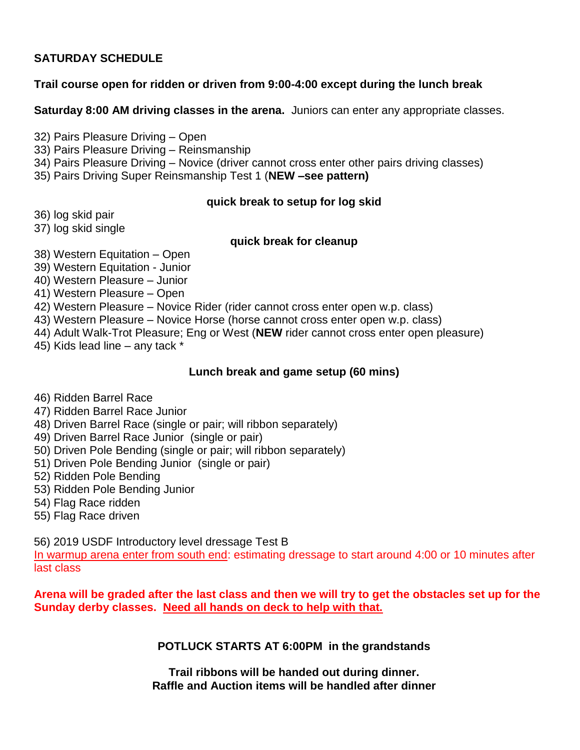# **SATURDAY SCHEDULE**

# **Trail course open for ridden or driven from 9:00-4:00 except during the lunch break**

**Saturday 8:00 AM driving classes in the arena.** Juniors can enter any appropriate classes.

32) Pairs Pleasure Driving – Open

33) Pairs Pleasure Driving – Reinsmanship

34) Pairs Pleasure Driving – Novice (driver cannot cross enter other pairs driving classes)

35) Pairs Driving Super Reinsmanship Test 1 (**NEW –see pattern)**

## **quick break to setup for log skid**

36) log skid pair

37) log skid single

## **quick break for cleanup**

- 38) Western Equitation Open
- 39) Western Equitation Junior

40) Western Pleasure – Junior

41) Western Pleasure – Open

42) Western Pleasure – Novice Rider (rider cannot cross enter open w.p. class)

43) Western Pleasure – Novice Horse (horse cannot cross enter open w.p. class)

44) Adult Walk-Trot Pleasure; Eng or West (**NEW** rider cannot cross enter open pleasure)

45) Kids lead line – any tack \*

# **Lunch break and game setup (60 mins)**

46) Ridden Barrel Race

- 47) Ridden Barrel Race Junior
- 48) Driven Barrel Race (single or pair; will ribbon separately)
- 49) Driven Barrel Race Junior (single or pair)
- 50) Driven Pole Bending (single or pair; will ribbon separately)
- 51) Driven Pole Bending Junior (single or pair)
- 52) Ridden Pole Bending
- 53) Ridden Pole Bending Junior
- 54) Flag Race ridden
- 55) Flag Race driven

56) 2019 USDF Introductory level dressage Test B

In warmup arena enter from south end: estimating dressage to start around 4:00 or 10 minutes after last class

**Arena will be graded after the last class and then we will try to get the obstacles set up for the Sunday derby classes. Need all hands on deck to help with that.**

**POTLUCK STARTS AT 6:00PM in the grandstands**

**Trail ribbons will be handed out during dinner. Raffle and Auction items will be handled after dinner**